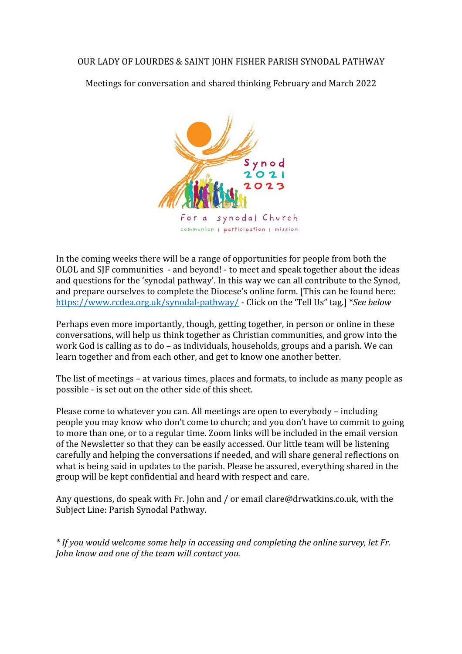Meetings for conversation and shared thinking February and March 2022



In the coming weeks there will be a range of opportunities for people from both the OLOL and SJF communities - and beyond! - to meet and speak together about the ideas and questions for the 'synodal pathway'. In this way we can all contribute to the Synod, and prepare ourselves to complete the Diocese's online form. [This can be found here: <https://www.rcdea.org.uk/synodal-pathway/>- Click on the 'Tell Us" tag.] \**See below*

Perhaps even more importantly, though, getting together, in person or online in these conversations, will help us think together as Christian communities, and grow into the work God is calling as to do – as individuals, households, groups and a parish. We can learn together and from each other, and get to know one another better.

The list of meetings – at various times, places and formats, to include as many people as possible - is set out on the other side of this sheet.

Please come to whatever you can. All meetings are open to everybody – including people you may know who don't come to church; and you don't have to commit to going to more than one, or to a regular time. Zoom links will be included in the email version of the Newsletter so that they can be easily accessed. Our little team will be listening carefully and helping the conversations if needed, and will share general reflections on what is being said in updates to the parish. Please be assured, everything shared in the group will be kept confidential and heard with respect and care.

Any questions, do speak with Fr. John and / or email clare@drwatkins.co.uk, with the Subject Line: Parish Synodal Pathway.

*\* If you would welcome some help in accessing and completing the online survey, let Fr. John know and one of the team will contact you.*